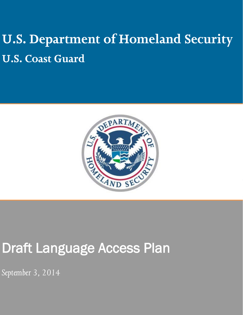# **U.S. Department of Homeland Security U.S. Coast Guard**



## Draft Language Access Plan

*September 3, 2014*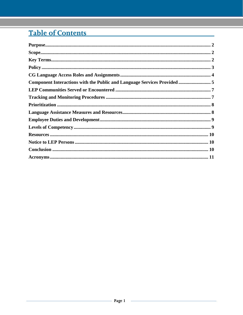## Table of Contents

| Purpose. 22                                                              |
|--------------------------------------------------------------------------|
|                                                                          |
|                                                                          |
|                                                                          |
|                                                                          |
| Component Interactions with the Public and Language Services Provided  5 |
|                                                                          |
|                                                                          |
|                                                                          |
|                                                                          |
|                                                                          |
|                                                                          |
|                                                                          |
|                                                                          |
|                                                                          |
|                                                                          |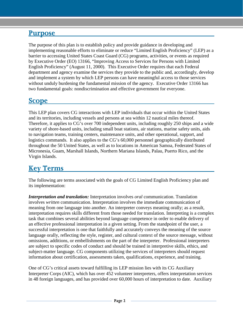#### <span id="page-2-0"></span>**Purpose**

The purpose of this plan is to establish policy and provide guidance in developing and implementing reasonable efforts to eliminate or reduce "Limited English Proficiency" (LEP) as a barrier to accessing United States Coast Guard (CG) programs, activities, or events as required by Executive Order (EO) 13166, "Improving Access to Services for Persons with Limited English Proficiency" (August 11, 2000). This Executive Order requires that each Federal department and agency examine the services they provide to the public and, accordingly, develop and implement a system by which LEP persons can have meaningful access to those services without unduly burdening the fundamental mission of the agency. Executive Order 13166 has two fundamental goals: nondiscrimination and effective government for everyone.

#### <span id="page-2-1"></span>**Scope**

This LEP plan covers CG interactions with LEP individuals that occur within the United States and its territories, including vessels and persons at sea within 12 nautical miles thereof. Therefore, it applies to CG's over 700 independent units, including roughly 250 ships and a wide variety of shore-based units, including small boat stations, air stations, marine safety units, aids to navigation teams, training centers, maintenance units, and other operational, support, and logistics commands. It also applies to the CG's 60,000 personnel geographically distributed throughout the 50 United States, as well as to locations in American Samoa, Federated States of Micronesia, Guam, Marshall Islands, Northern Mariana Islands, Palau, Puerto Rico, and the Virgin Islands.

#### <span id="page-2-2"></span>**Key Terms**

The following are terms associated with the goals of CG Limited English Proficiency plan and its implementation:

*Interpretation and translation:* Interpretation involves *oral* communication. Translation involves *written* communication. Interpretation involves the immediate communication of meaning from one language into another. An interpreter conveys meaning orally; as a result, interpretation requires skills different from those needed for translation. Interpreting is a complex task that combines several abilities beyond language competence in order to enable delivery of an effective professional interpretation in a given setting. From the standpoint of the user, a successful interpretation is one that faithfully and accurately conveys the meaning of the source language orally, reflecting the style, register, and cultural context of the source message, without omissions, additions, or embellishments on the part of the interpreter. Professional interpreters are subject to specific codes of conduct and should be trained in interpretive skills, ethics, and subject-matter language. CG components utilizing the services of interpreters should request information about certification, assessments taken, qualifications, experience, and training.

One of CG's critical assets toward fulfilling its LEP mission lies with its CG Auxiliary Interpreter Corps (AIC), which has over 452 volunteer interpreters, offers interpretation services in 48 foreign languages, and has provided over 60,000 hours of interpretation to date. Auxiliary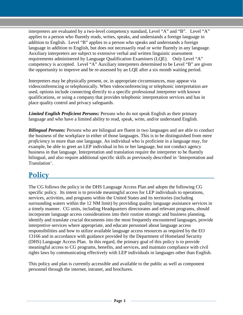interpreters are evaluated by a two-level competency standard, Level "A" and "B". Level "A" applies to a person who fluently reads, writes, speaks, and understands a foreign language in addition to English. Level "B" applies to a person who speaks and understands a foreign language in addition to English, but does not necessarily read or write fluently in any language. Auxiliary interpreters are subject to extensive verbal and written linguistic assessment requirements administered by Language Qualification Examiners (LQE). Only Level "A" competency is accepted. Level "A" Auxiliary interpreters determined to be Level "B" are given the opportunity to improve and be re-assessed by an LQE after a six month waiting period.

Interpreters may be physically present, or, in appropriate circumstances, may appear via videoconferencing or telephonically. When videoconferencing or telephonic interpretation are used, options include connecting directly to a specific professional interpreter with known qualifications, or using a company that provides telephonic interpretation services and has in place quality control and privacy safeguards.

*Limited English Proficient Persons:* Persons who do not speak English as their primary language and who have a limited ability to read, speak, write, and/or understand English.

*Bilingual Persons:* Persons who are bilingual are fluent in two languages and are able to conduct the business of the workplace in either of those languages. This is to be distinguished from mere *proficiency* in more than one language. An individual who is proficient in a language may, for example, be able to greet an LEP individual in his or her language, but not conduct agency business in that language. Interpretation and translation require the interpreter to be fluently bilingual, and also require additional specific skills as previously described in 'Interpretation and Translation'.

## <span id="page-3-0"></span>**Policy**

The CG follows the policy in the DHS Language Access Plan and adopts the following CG specific policy. Its intent is to provide meaningful access for LEP individuals to operations, services, activities, and programs within the United States and its territories (including surrounding waters within the 12 NM limit) by providing quality language assistance services in a timely manner. CG units, including Headquarters directorates and relevant programs, should incorporate language access considerations into their routine strategic and business planning, identify and translate crucial documents into the most frequently encountered languages, provide interpretive services where appropriate, and educate personnel about language access responsibilities and how to utilize available language access resources as required by the EO 13166 and in accordance with guidance provided by the Department of Homeland Security (DHS) Language Access Plan. In this regard, the primary goal of this policy is to provide meaningful access to CG programs, benefits, and services, and maintain compliance with civil rights laws by communicating effectively with LEP individuals in languages other than English.

This policy and plan is currently accessible and available to the public as well as component personnel through the internet, intranet, and brochures.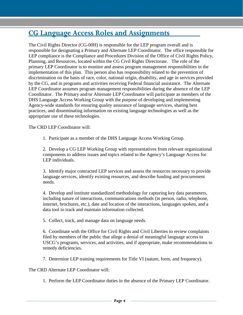#### <span id="page-4-0"></span>**CG Language Access Roles and Assignments**

The Civil Rights Director (CG-00H) is responsible for the LEP program overall and is responsible for designating a Primary and Alternate LEP Coordinator. The office responsible for LEP compliance is the Compliance and Procedures Division of the Office of Civil Rights Policy, Planning, and Resources, located within the CG Civil Rights Directorate. The role of the primary LEP Coordinator is to monitor and assess program management responsibilities in the implementation of this plan. This person also has responsibility related to the prevention of discrimination on the basis of race, color, national origin, disability, and age in services provided by the CG, and in programs and activities receiving Federal financial assistance. The Alternate LEP Coordinator assumes program management responsibilities during the absence of the LEP Coordinator. The Primary and/or Alternate LEP Coordinator will participate as members of the DHS Language Access Working Group with the purpose of developing and implementing Agency-wide standards for ensuring quality assurance of language services, sharing best practices, and disseminating information on existing language technologies as well as the appropriate use of these technologies.

The CRD LEP Coordinator will:

1. Participate as a member of the DHS Language Access Working Group.

2. Develop a CG LEP Working Group with representatives from relevant organizational components to address issues and topics related to the Agency's Language Access for LEP individuals.

3. Identify major contracted LEP services and assess the resources necessary to provide language services, identify existing resources, and describe funding and procurement needs.

4. Develop and institute standardized methodology for capturing key data parameters, including nature of interactions, communications methods (in person, radio, telephone, internet, brochures, etc.), date and location of the interactions, languages spoken, and a data tool to track and maintain information collected.

5. Collect, track, and manage data on language needs.

6. Coordinate with the Office for Civil Rights and Civil Liberties to review complaints filed by members of the public that allege a denial of meaningful language access to USCG's programs, services, and activities, and if appropriate, make recommendations to remedy deficiencies.

7. Determine LEP training requirements for Title VI (nature, form, and frequency).

The CRD Alternate LEP Coordinator will:

1. Perform the LEP Coordinator duties in the absence of the Primary LEP Coordinator.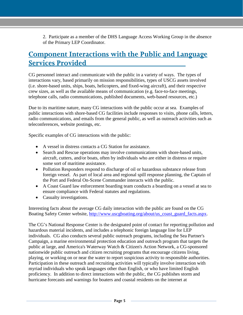2. Participate as a member of the DHS Language Access Working Group in the absence of the Primary LEP Coordinator.

#### <span id="page-5-0"></span>**Component Interactions with the Public and Language Services Provided**

CG personnel interact and communicate with the public in a variety of ways. The types of interactions vary, based primarily on mission responsibilities, types of USCG assets involved (i.e. shore-based units, ships, boats, helicopters, and fixed-wing aircraft), and their respective crew sizes, as well as the available means of communication (e.g. face-to-face meetings, telephone calls, radio communications, published documents, web-based resources, etc.)

Due to its maritime nature, many CG interactions with the public occur at sea. Examples of public interactions with shore-based CG facilities include responses to visits, phone calls, letters, radio communications, and emails from the general public, as well as outreach activities such as teleconferences, website postings, etc.

Specific examples of CG interactions with the public:

- A vessel in distress contacts a CG Station for assistance.
- Search and Rescue operations may involve communications with shore-based units, aircraft, cutters, and/or boats, often by individuals who are either in distress or require some sort of maritime assistance.
- Pollution Responders respond to discharge of oil or hazardous substance release from foreign vessel. As part of local area and regional spill response planning, the Captain of the Port and Federal On-Scene Commander interacts with the public.
- A Coast Guard law enforcement boarding team conducts a boarding on a vessel at sea to ensure compliance with Federal statutes and regulations.
- Casualty investigations.

Interesting facts about the average CG daily interaction with the public are found on the CG Boating Safety Center website, [http://www.uscgboating.org/about/us\\_coast\\_guard\\_facts.aspx.](http://www.uscgboating.org/about/us_coast_guard_facts.aspx)

The CG's National Response Center is the designated point of contact for reporting pollution and hazardous material incidents, and includes a telephonic foreign language line for LEP individuals. CG also conducts several public outreach programs, including the Sea Partner's Campaign, a marine environmental protection education and outreach program that targets the public at large, and America's Waterway Watch & Citizen's Action Network, a CG-sponsored nationwide public outreach and citizen recruiting programs that encourage citizens living, playing, or working on or near the water to report suspicious activity to responsible authorities. Participation in these outreach and recruiting activities will typically involve interaction with myriad individuals who speak languages other than English, or who have limited English proficiency. In addition to direct interactions with the public, the CG publishes storm and hurricane forecasts and warnings for boaters and coastal residents on the internet at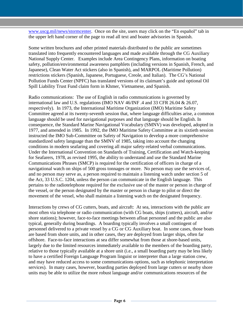[www.uscg.mil/news/stormcenter.](http://www.uscg.mil/news/stormcenter/) Once on the site, users may click on the "En español" tab in the upper left hand corner of the page to read all text and boater advisories in Spanish.

Some written brochures and other printed materials distributed to the public are sometimes translated into frequently encountered languages and made available through the CG Auxiliary National Supply Center. Examples include Area Contingency Plans, information on boating safety, pollution/environmental awareness pamphlets (including versions in Spanish, French, and Japanese), Clean Water Act stickers (also in Spanish), and MARPOL (Maritime Pollution) restrictions stickers (Spanish, Japanese, Portuguese, Creole, and Italian). The CG's National Pollution Funds Center (NPFC) has translated versions of its claimant's guide and optional Oil Spill Liability Trust Fund claim form in Khmer, Vietnamese, and Spanish.

Radio communications: The use of English in radio communications is governed by international law and U.S. regulations (IMO NAV 46/INF .4 and 33 CFR 26.04 & 26.07, respectively). In 1973, the International Maritime Organization (IMO) Maritime Safety Committee agreed at its twenty-seventh session that, where language difficulties arise, a common language should be used for navigational purposes and that language should be English. In consequence, the Standard Marine Navigational Vocabulary (SMNV) was developed, adopted in 1977, and amended in 1985. In 1992, the IMO Maritime Safety Committee at its sixtieth session instructed the IMO Sub-Committee on Safety of Navigation to develop a more comprehensive standardized safety language than the SMNV of 1985, taking into account the changing conditions in modern seafaring and covering all major safety-related verbal communications. Under the International Convention on Standards of Training, Certification and Watch-keeping for Seafarers, 1978, as revised 1995, the ability to understand and use the Standard Marine Communications Phrases (SMCP) is required for the certification of officers in charge of a navigational watch on ships of 500 gross tonnages or more. No person may use the services of, and no person may serve as, a person required to maintain a listening watch under section 5 of the Act, 33 U.S.C. 1204, unless the person can communicate in the English language. This pertains to the radiotelephone required for the exclusive use of the master or person in charge of the vessel, or the person designated by the master or person in charge to pilot or direct the movement of the vessel, who shall maintain a listening watch on the designated frequency.

Interactions by crews of CG cutters, boats, and aircraft: At sea, interactions with the public are most often via telephone or radio communication (with CG boats, ships (cutters), aircraft, and/or shore stations); however, face-to-face meetings between afloat personnel and the public are also typical, generally during boardings. A boarding typically involves a small contingent of personnel delivered to a private vessel by a CG or CG Auxiliary boat. In some cases, those boats are based from shore units, and in other cases, they are deployed from larger ships, often far offshore. Face-to-face interactions at sea differ somewhat from those at shore-based units, largely due to the limited resources immediately available to the members of the boarding party, relative to those typically available at a shore unit (i.e., a small boarding party may be less likely to have a certified Foreign Language Program linguist or interpreter than a large station crew, and may have reduced access to some communications options, such as telephonic interpretation services). In many cases, however, boarding parties deployed from large cutters or nearby shore units may be able to utilize the more robust language and/or communications resources of the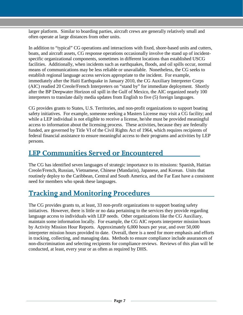larger platform. Similar to boarding parties, aircraft crews are generally relatively small and often operate at large distances from other units.

In addition to "typical" CG operations and interactions with fixed, shore-based units and cutters, boats, and aircraft assets, CG response operations occasionally involve the stand up of incidentspecific organizational components, sometimes in different locations than established USCG facilities. Additionally, when incidents such as earthquakes, floods, and oil spills occur, normal means of communications may be less reliable or unavailable. Nonetheless, the CG seeks to establish regional language access services appropriate to the incident. For example, immediately after the Haiti Earthquake in January 2010, the CG Auxiliary Interpreter Corps (AIC) readied 20 Creole/French Interpreters on "stand by" for immediate deployment. Shortly after the BP Deepwater Horizon oil spill in the Gulf of Mexico, the AIC organized nearly 100 interpreters to translate daily media updates from English to five (5) foreign languages.

CG provides grants to States, U.S. Territories, and non-profit organizations to support boating safety initiatives. For example, someone seeking a Masters License may visit a CG facility; and while a LEP individual is not eligible to receive a license, he/she must be provided meaningful access to information about the licensing process. These activities, because they are federally funded, are governed by Title VI of the Civil Rights Act of 1964, which requires recipients of federal financial assistance to ensure meaningful access to their programs and activities by LEP persons.

#### <span id="page-7-0"></span>**LEP Communities Served or Encountered**

The CG has identified seven languages of strategic importance to its missions: Spanish, Haitian Creole/French, Russian, Vietnamese, Chinese (Mandarin), Japanese, and Korean. Units that routinely deploy to the Caribbean, Central and South America, and the Far East have a consistent need for members who speak these languages.

## <span id="page-7-1"></span>**Tracking and Monitoring Procedures**

The CG provides grants to, at least, 33 non-profit organizations to support boating safety initiatives. However, there is little or no data pertaining to the services they provide regarding language access to individuals with LEP needs. Other organizations like the CG Auxiliary, maintain some information locally. For example, the CG AIC reports interpreter mission hours by Activity Mission Hour Reports. Approximately 6,000 hours per year, and over 50,000 interpreter mission hours provided to date. Overall, there is a need for more emphasis and efforts in tracking, collecting, and managing data. Methods to ensure compliance include assurances of non-discrimination and selecting recipients for compliance reviews. Reviews of this plan will be conducted, at least, every year or as often as required by DHS.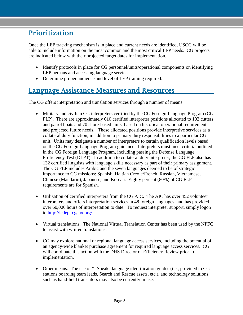## <span id="page-8-0"></span>**Prioritization**

Once the LEP tracking mechanism is in place and current needs are identified, USCG will be able to include information on the most common and the most critical LEP needs. CG projects are indicated below with their projected target dates for implementation.

- Identify protocols in place for CG personnel/units/operational components on identifying LEP persons and accessing language services.
- Determine proper audience and level of LEP training required.

## <span id="page-8-1"></span>**Language Assistance Measures and Resources**

The CG offers interpretation and translation services through a number of means:

- Military and civilian CG interpreters certified by the CG Foreign Language Program (CG FLP). There are approximately 610 certified interpreter positions allocated to 103 cutters and patrol boats and 70 shore-based units, based on historical operational requirement and projected future needs. These allocated positions provide interpretive services as a collateral duty function, in addition to primary duty responsibilities to a particular CG unit. Units may designate a number of interpreters to certain qualification levels based on the CG Foreign Language Program guidance. Interpreters must meet criteria outlined in the CG Foreign Language Program, including passing the Defense Language Proficiency Test (DLPT). In addition to collateral duty interpreter, the CG FLP also has 132 certified linguists with language skills necessary as part of their primary assignment. The CG FLP includes Arabic and the seven languages deemed to be of strategic importance to CG missions: Spanish, Haitian Creole/French, Russian, Vietnamese, Chinese (Mandarin), Japanese, and Korean. Eighty percent (80%) of CG FLP requirements are for Spanish.
- Utilization of certified interpreters from the CG AIC. The AIC has over 452 volunteer interpreters and offers interpretation services in 48 foreign languages, and has provided over 60,000 hours of interpretation to date. To request interpreter support, simply logon to [http://icdept.cgaux.org/.](http://icdept.cgaux.org/)
- Virtual translations. The National Virtual Translation Center has been used by the NPFC to assist with written translations.
- CG may explore national or regional language access services, including the potential of an agency-wide blanket purchase agreement for required language access services. CG will coordinate this action with the DHS Director of Efficiency Review prior to implementation.
- Other means: The use of "I Speak" language identification guides (i.e., provided to CG stations boarding team leads, Search and Rescue assets, etc.), and technology solutions such as hand-held translators may also be currently in use.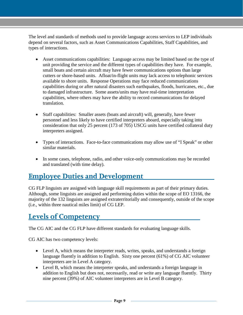The level and standards of methods used to provide language access services to LEP individuals depend on several factors, such as Asset Communications Capabilities, Staff Capabilities, and types of interactions.

- Asset communications capabilities: Language access may be limited based on the type of unit providing the service and the different types of capabilities they have. For example, small boats and certain aircraft may have fewer communications options than large cutters or shore-based units. Afloat/in-flight units may lack access to telephonic services available to shore units. Response Operations may face reduced communications capabilities during or after natural disasters such earthquakes, floods, hurricanes, etc., due to damaged infrastructure. Some assets/units may have real-time interpretation capabilities, where others may have the ability to record communications for delayed translation.
- Staff capabilities: Smaller assets (boats and aircraft) will, generally, have fewer personnel and less likely to have certified interpreters aboard, especially taking into consideration that only 25 percent (173 of 705) USCG units have certified collateral duty interpreters assigned.
- Types of interactions. Face-to-face communications may allow use of "I Speak" or other similar materials.
- In some cases, telephone, radio, and other voice-only communications may be recorded and translated (with time delay).

## <span id="page-9-0"></span>**Employee Duties and Development**

CG FLP linguists are assigned with language skill requirements as part of their primary duties. Although, some linguists are assigned and performing duties within the scope of EO 13166, the majority of the 132 linguists are assigned extraterritorially and consequently, outside of the scope (i.e., within three nautical miles limit) of CG LEP.

## <span id="page-9-1"></span>**Levels of Competency**

The CG AIC and the CG FLP have different standards for evaluating language skills.

CG AIC has two competency levels:

- Level A, which means the interpreter reads, writes, speaks, and understands a foreign language fluently in addition to English. Sixty one percent (61%) of CG AIC volunteer interpreters are in Level A category.
- Level B, which means the interpreter speaks, and understands a foreign language in addition to English but does not, necessarily, read or write any language fluently. Thirty nine percent (39%) of AIC volunteer interpreters are in Level B category.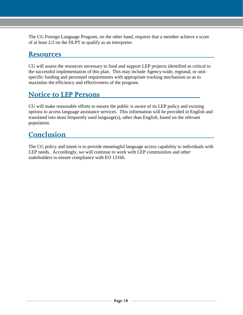The CG Foreign Language Program, on the other hand, requires that a member achieve a score of at least 2/2 on the DLPT to qualify as an interpreter.

#### <span id="page-10-0"></span>**Resources**

CG will assess the resources necessary to fund and support LEP projects identified as critical to the successful implementation of this plan. This may include Agency-wide, regional, or unitspecific funding and personnel requirements with appropriate tracking mechanism so as to maximize the efficiency and effectiveness of the program.

#### <span id="page-10-1"></span>**Notice to LEP Persons**

CG will make reasonable efforts to ensure the public is aware of its LEP policy and existing options to access language assistance services. This information will be provided in English and translated into most frequently used language(s), other than English, based on the relevant population.

#### <span id="page-10-2"></span>**Conclusion**

The CG policy and intent is to provide meaningful language access capability to individuals with LEP needs. Accordingly, we will continue to work with LEP communities and other stakeholders to ensure compliance with EO 13166.